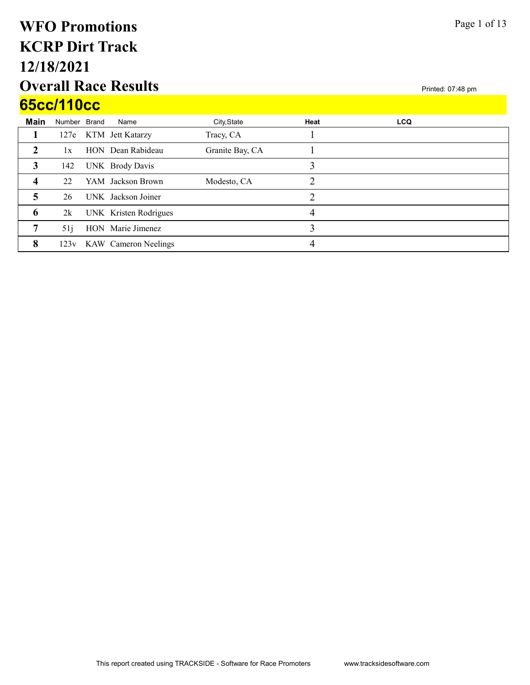# Overall Race Results 12/18/2021 KCRP Dirt Track WFO Promotions 65cc/110cc

| 65cc/110cc              |              |  |                           |                 |      |            |  |  |  |
|-------------------------|--------------|--|---------------------------|-----------------|------|------------|--|--|--|
| <b>Main</b>             | Number Brand |  | Name                      | City, State     | Heat | <b>LCQ</b> |  |  |  |
|                         | 127e         |  | KTM Jett Katarzy          | Tracy, CA       |      |            |  |  |  |
| 2                       | 1x           |  | HON Dean Rabideau         | Granite Bay, CA |      |            |  |  |  |
| 3                       | 142          |  | UNK Brody Davis           |                 | 3    |            |  |  |  |
| $\overline{\mathbf{4}}$ | 22           |  | YAM Jackson Brown         | Modesto, CA     | ↑    |            |  |  |  |
| 5                       | 26           |  | UNK Jackson Joiner        |                 | 2    |            |  |  |  |
| 6                       | 2k           |  | UNK Kristen Rodrigues     |                 | 4    |            |  |  |  |
| 7                       | 51j          |  | HON Marie Jimenez         |                 | 3    |            |  |  |  |
| 8                       |              |  | 123v KAW Cameron Neelings |                 | 4    |            |  |  |  |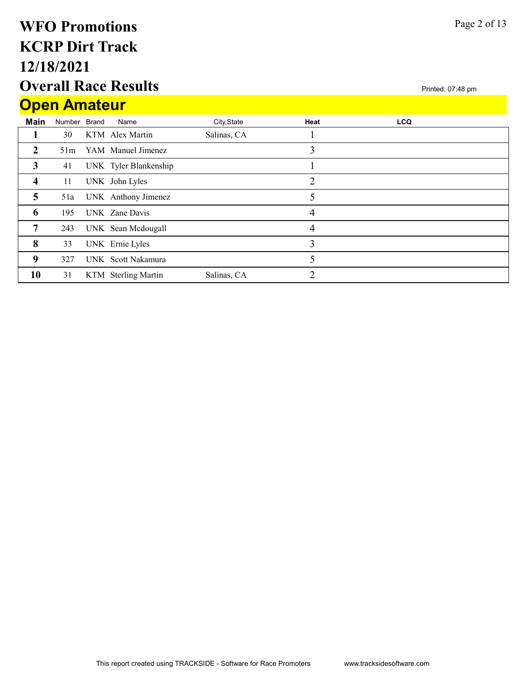# Overall Race Results 12/18/2021 KCRP Dirt Track WFO Promotions Open Amateur

|              | <b>Open Amateur</b> |              |                       |             |                |            |  |  |  |  |  |
|--------------|---------------------|--------------|-----------------------|-------------|----------------|------------|--|--|--|--|--|
| <b>Main</b>  | Number              | <b>Brand</b> | Name                  | City, State | Heat           | <b>LCQ</b> |  |  |  |  |  |
|              | 30                  |              | KTM Alex Martin       | Salinas, CA |                |            |  |  |  |  |  |
| $\mathbf{2}$ | 51m                 |              | YAM Manuel Jimenez    |             | 3              |            |  |  |  |  |  |
| 3            | 41                  |              | UNK Tyler Blankenship |             |                |            |  |  |  |  |  |
| 4            | 11                  |              | UNK John Lyles        |             | $\overline{2}$ |            |  |  |  |  |  |
| 5            | 51a                 |              | UNK Anthony Jimenez   |             | 5              |            |  |  |  |  |  |
| 6            | 195                 |              | UNK Zane Davis        |             | 4              |            |  |  |  |  |  |
| 7            | 243                 |              | UNK Sean Mcdougall    |             | 4              |            |  |  |  |  |  |
| 8            | 33                  |              | UNK Ernie Lyles       |             | 3              |            |  |  |  |  |  |
| 9            | 327                 |              | UNK Scott Nakamura    |             | 5              |            |  |  |  |  |  |
| 10           | 31                  |              | KTM Sterling Martin   | Salinas, CA | $\overline{2}$ |            |  |  |  |  |  |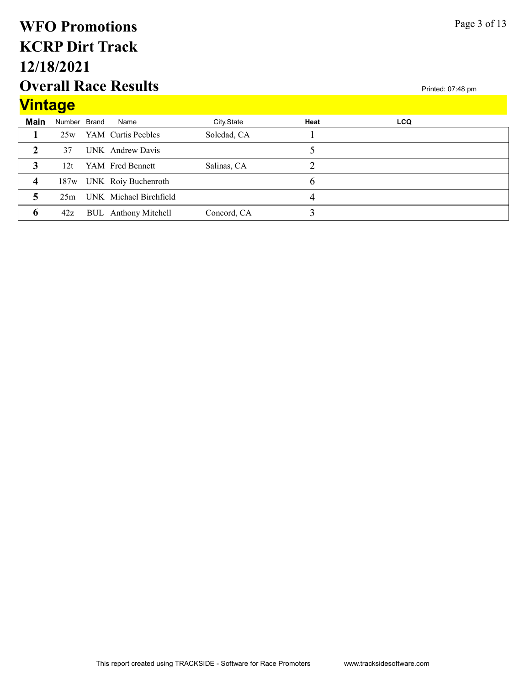#### Overall Race Results 12/18/2021 KCRP Dirt Track WFO Promotions Vintage

|             | <u>vintage</u> |  |                             |             |      |            |  |  |  |  |
|-------------|----------------|--|-----------------------------|-------------|------|------------|--|--|--|--|
| <b>Main</b> | Number Brand   |  | Name                        | City, State | Heat | <b>LCQ</b> |  |  |  |  |
|             | 25w            |  | YAM Curtis Peebles          | Soledad, CA |      |            |  |  |  |  |
|             | 37             |  | UNK Andrew Davis            |             |      |            |  |  |  |  |
|             | 12t            |  | YAM Fred Bennett            | Salinas, CA |      |            |  |  |  |  |
| 4           |                |  | 187w UNK Roiy Buchenroth    |             |      |            |  |  |  |  |
|             |                |  | 25m UNK Michael Birchfield  |             | 4    |            |  |  |  |  |
| 6           | 42z            |  | <b>BUL</b> Anthony Mitchell | Concord, CA |      |            |  |  |  |  |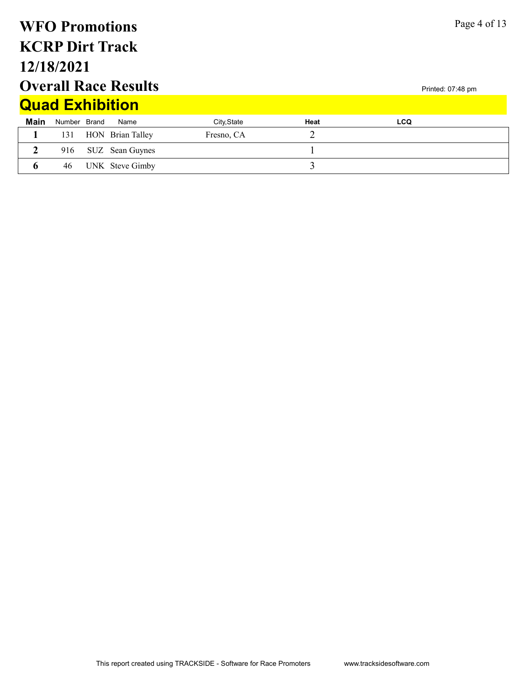|                                                  | <b>WFO Promotions</b> |  |                        |             |                |            | Page 4 of 13 |  |
|--------------------------------------------------|-----------------------|--|------------------------|-------------|----------------|------------|--------------|--|
|                                                  |                       |  | <b>KCRP Dirt Track</b> |             |                |            |              |  |
|                                                  | 12/18/2021            |  |                        |             |                |            |              |  |
| <b>Overall Race Results</b><br>Printed: 07:48 pm |                       |  |                        |             |                |            |              |  |
|                                                  |                       |  | <b>Quad Exhibition</b> |             |                |            |              |  |
| <b>Main</b>                                      | Number Brand          |  | Name                   | City, State | Heat           | <b>LCQ</b> |              |  |
|                                                  | 131                   |  | HON Brian Talley       | Fresno, CA  | $\overline{2}$ |            |              |  |
| $\overline{2}$                                   | 916                   |  | SUZ Sean Guynes        |             |                |            |              |  |
| 6                                                | 46                    |  | UNK Steve Gimby        |             | 3              |            |              |  |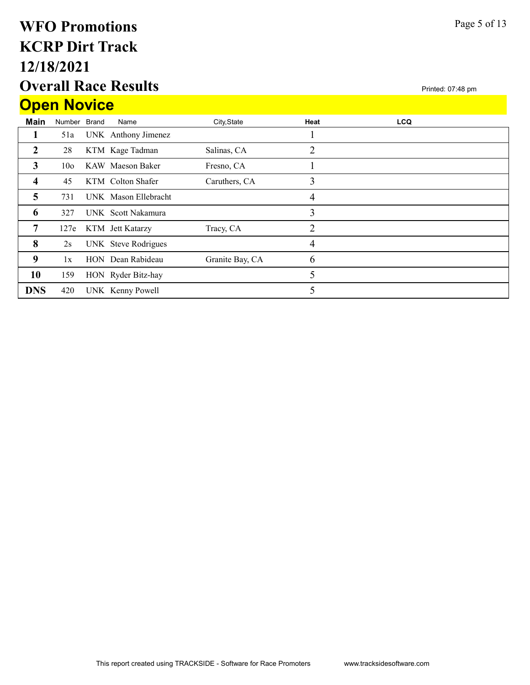# Overall Race Results 12/18/2021 KCRP Dirt Track WFO Promotions **Open Novice**

|                | <b>Upen Novice</b> |  |                      |                 |                |            |  |  |  |  |  |  |
|----------------|--------------------|--|----------------------|-----------------|----------------|------------|--|--|--|--|--|--|
| <b>Main</b>    | Number Brand       |  | Name                 | City, State     | Heat           | <b>LCQ</b> |  |  |  |  |  |  |
| 1              | 51a                |  | UNK Anthony Jimenez  |                 |                |            |  |  |  |  |  |  |
| $\overline{2}$ | 28                 |  | KTM Kage Tadman      | Salinas, CA     | 2              |            |  |  |  |  |  |  |
| 3              | 10 <sub>o</sub>    |  | KAW Maeson Baker     | Fresno, CA      |                |            |  |  |  |  |  |  |
| 4              | 45                 |  | KTM Colton Shafer    | Caruthers, CA   | 3              |            |  |  |  |  |  |  |
| 5              | 731                |  | UNK Mason Ellebracht |                 | 4              |            |  |  |  |  |  |  |
| 6              | 327                |  | UNK Scott Nakamura   |                 | 3              |            |  |  |  |  |  |  |
| 7              | 127e               |  | KTM Jett Katarzy     | Tracy, CA       | $\overline{2}$ |            |  |  |  |  |  |  |
| 8              | 2s                 |  | UNK Steve Rodrigues  |                 | 4              |            |  |  |  |  |  |  |
| 9              | 1x                 |  | HON Dean Rabideau    | Granite Bay, CA | 6              |            |  |  |  |  |  |  |
| 10             | 159                |  | HON Ryder Bitz-hay   |                 | 5              |            |  |  |  |  |  |  |
| <b>DNS</b>     | 420                |  | UNK Kenny Powell     |                 | 5              |            |  |  |  |  |  |  |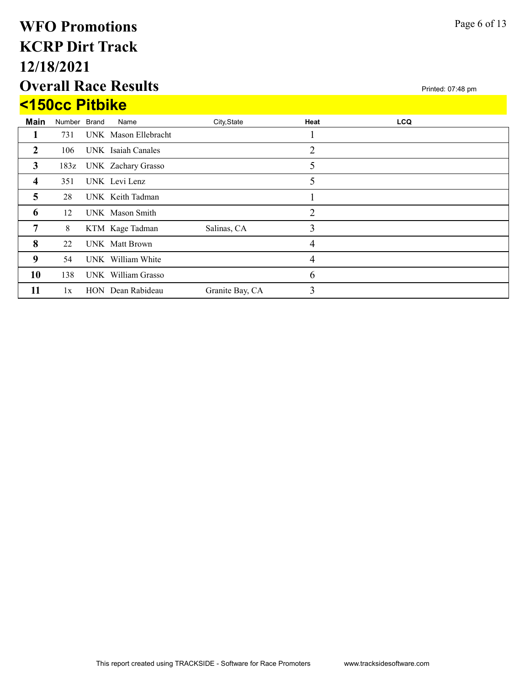# Overall Race Results 12/18/2021 KCRP Dirt Track WFO Promotions  $\overline{1}$  -  $\overline{1}$   $\overline{1}$   $\overline{1}$   $\overline{1}$   $\overline{1}$   $\overline{1}$   $\overline{1}$   $\overline{1}$   $\overline{1}$   $\overline{1}$   $\overline{1}$   $\overline{1}$   $\overline{1}$   $\overline{1}$   $\overline{1}$   $\overline{1}$   $\overline{1}$   $\overline{1}$   $\overline{1}$   $\overline{1}$   $\overline{1}$   $\overline{1}$   $\overline{1}$   $\over$

|                | <u>ST50CC PITDIKE</u> |  |                         |                 |      |            |  |  |  |  |  |
|----------------|-----------------------|--|-------------------------|-----------------|------|------------|--|--|--|--|--|
| <b>Main</b>    | Number Brand          |  | Name                    | City, State     | Heat | <b>LCQ</b> |  |  |  |  |  |
| 1              | 731                   |  | UNK Mason Ellebracht    |                 |      |            |  |  |  |  |  |
| $\overline{2}$ | 106                   |  | UNK Isaiah Canales      |                 | 2    |            |  |  |  |  |  |
| 3              |                       |  | 183z UNK Zachary Grasso |                 | 5    |            |  |  |  |  |  |
| 4              | 351                   |  | UNK Levi Lenz           |                 | 5    |            |  |  |  |  |  |
| 5              | 28                    |  | UNK Keith Tadman        |                 |      |            |  |  |  |  |  |
| 6              | 12                    |  | UNK Mason Smith         |                 | 2    |            |  |  |  |  |  |
| 7              | 8                     |  | KTM Kage Tadman         | Salinas, CA     | 3    |            |  |  |  |  |  |
| 8              | 22                    |  | <b>UNK</b> Matt Brown   |                 | 4    |            |  |  |  |  |  |
| 9              | 54                    |  | UNK William White       |                 | 4    |            |  |  |  |  |  |
| 10             | 138                   |  | UNK William Grasso      |                 | 6    |            |  |  |  |  |  |
| 11             | 1x                    |  | HON Dean Rabideau       | Granite Bay, CA | 3    |            |  |  |  |  |  |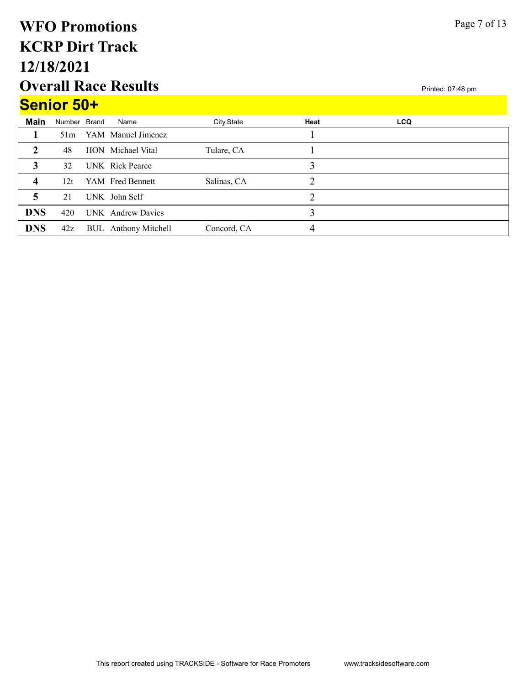# Overall Race Results 12/18/2021 KCRP Dirt Track WFO Promotions Senior 50+

|                  | Senior 50+   |  |                             |             |      |            |  |  |  |  |  |
|------------------|--------------|--|-----------------------------|-------------|------|------------|--|--|--|--|--|
| <b>Main</b>      | Number Brand |  | Name                        | City, State | Heat | <b>LCQ</b> |  |  |  |  |  |
|                  | 51m          |  | YAM Manuel Jimenez          |             |      |            |  |  |  |  |  |
| $\mathbf{2}$     | 48           |  | HON Michael Vital           | Tulare, CA  |      |            |  |  |  |  |  |
| 3                | 32           |  | UNK Rick Pearce             |             | 3    |            |  |  |  |  |  |
| $\boldsymbol{4}$ | 12t          |  | YAM Fred Bennett            | Salinas, CA |      |            |  |  |  |  |  |
| 5                | 21           |  | UNK John Self               |             | 2    |            |  |  |  |  |  |
| <b>DNS</b>       | 420          |  | UNK Andrew Davies           |             | 3    |            |  |  |  |  |  |
| <b>DNS</b>       | 42z          |  | <b>BUL</b> Anthony Mitchell | Concord, CA | 4    |            |  |  |  |  |  |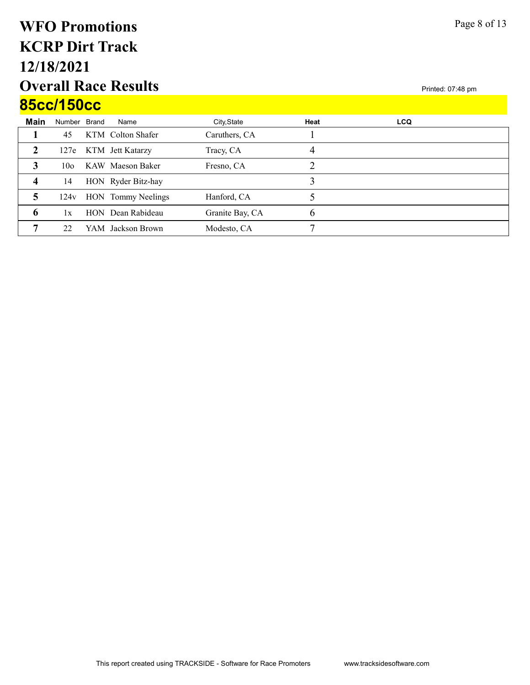# Overall Race Results 12/18/2021 KCRP Dirt Track WFO Promotions 85cc/150cc

|      | 85CC/15UCC      |  |                       |                 |               |            |  |  |  |  |
|------|-----------------|--|-----------------------|-----------------|---------------|------------|--|--|--|--|
| Main | Number Brand    |  | Name                  | City, State     | Heat          | <b>LCQ</b> |  |  |  |  |
|      | 45              |  | KTM Colton Shafer     | Caruthers, CA   |               |            |  |  |  |  |
| 2    |                 |  | 127e KTM Jett Katarzy | Tracy, CA       | 4             |            |  |  |  |  |
| 3    | 10 <sub>o</sub> |  | KAW Maeson Baker      | Fresno, CA      | າ             |            |  |  |  |  |
| 4    | 14              |  | HON Ryder Bitz-hay    |                 |               |            |  |  |  |  |
| 5    | 124v            |  | HON Tommy Neelings    | Hanford, CA     |               |            |  |  |  |  |
| 6    | 1x              |  | HON Dean Rabideau     | Granite Bay, CA | $\mathfrak b$ |            |  |  |  |  |
| 7    | 22              |  | YAM Jackson Brown     | Modesto, CA     | ┍             |            |  |  |  |  |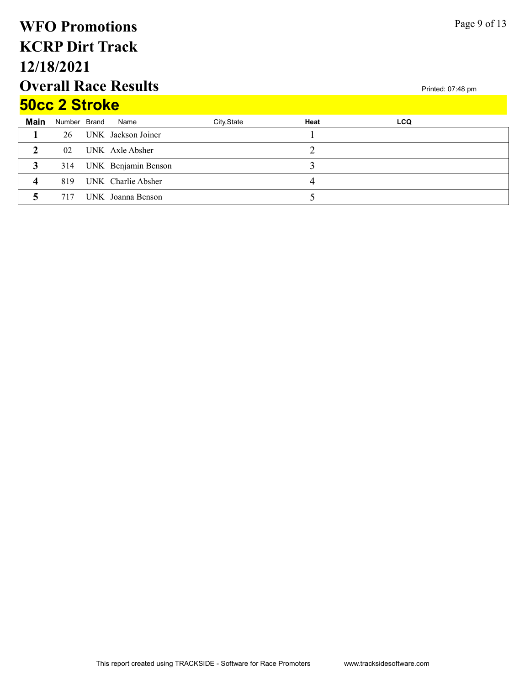# Overall Race Results 12/18/2021 KCRP Dirt Track WFO Promotions 50cc 2 Stroke

| <b>SUCC Z SIFOKE</b> |                 |  |                     |             |      |            |  |  |  |  |
|----------------------|-----------------|--|---------------------|-------------|------|------------|--|--|--|--|
| <b>Main</b>          | Number Brand    |  | Name                | City, State | Heat | <b>LCQ</b> |  |  |  |  |
|                      | 26              |  | UNK Jackson Joiner  |             |      |            |  |  |  |  |
|                      | 02 <sub>z</sub> |  | UNK Axle Absher     |             |      |            |  |  |  |  |
|                      | 314             |  | UNK Benjamin Benson |             |      |            |  |  |  |  |
| Δ                    | 819             |  | UNK Charlie Absher  |             |      |            |  |  |  |  |
|                      | 717             |  | UNK Joanna Benson   |             |      |            |  |  |  |  |

Page 9 of 13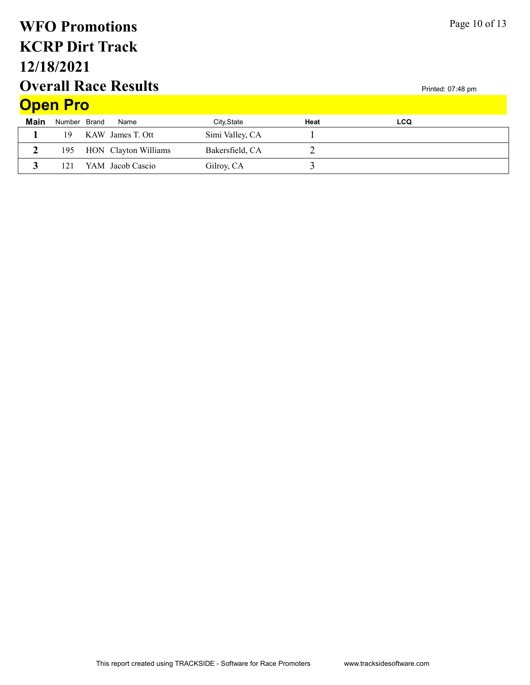# Overall Race Results 12/18/2021 KCRP Dirt Track WFO Promotions Open Pro

| Page 10 of 13 |  |  |  |
|---------------|--|--|--|
|---------------|--|--|--|

|      | <b>Open Pro</b> |  |                          |                 |      |            |  |  |  |
|------|-----------------|--|--------------------------|-----------------|------|------------|--|--|--|
| Main | Number Brand    |  | Name                     | City, State     | Heat | <b>LCQ</b> |  |  |  |
|      | 19              |  | KAW James T. Ott         | Simi Valley, CA |      |            |  |  |  |
|      |                 |  | 195 HON Clayton Williams | Bakersfield, CA |      |            |  |  |  |
|      | 121             |  | YAM Jacob Cascio         | Gilroy, CA      |      |            |  |  |  |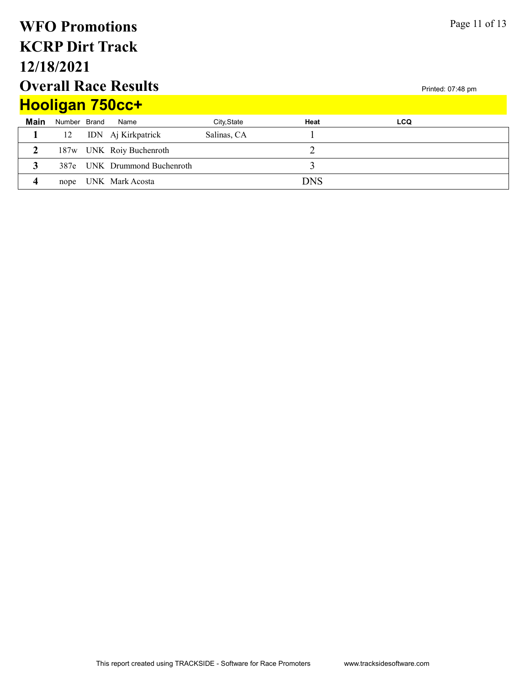| Page 11 of 13<br><b>WFO Promotions</b> |                                                  |  |                          |             |            |            |  |  |  |  |
|----------------------------------------|--------------------------------------------------|--|--------------------------|-------------|------------|------------|--|--|--|--|
| <b>KCRP Dirt Track</b>                 |                                                  |  |                          |             |            |            |  |  |  |  |
| 12/18/2021                             |                                                  |  |                          |             |            |            |  |  |  |  |
|                                        | <b>Overall Race Results</b><br>Printed: 07:48 pm |  |                          |             |            |            |  |  |  |  |
|                                        |                                                  |  | <b>Hooligan 750cc+</b>   |             |            |            |  |  |  |  |
| <b>Main</b>                            | Number Brand                                     |  | Name                     | City, State | Heat       | <b>LCQ</b> |  |  |  |  |
|                                        | 12                                               |  | IDN Aj Kirkpatrick       | Salinas, CA |            |            |  |  |  |  |
| $\overline{2}$                         |                                                  |  | 187w UNK Roiy Buchenroth |             | 2          |            |  |  |  |  |
| 3                                      | 387e                                             |  | UNK Drummond Buchenroth  |             | 3          |            |  |  |  |  |
| 4                                      | nope                                             |  | UNK Mark Acosta          |             | <b>DNS</b> |            |  |  |  |  |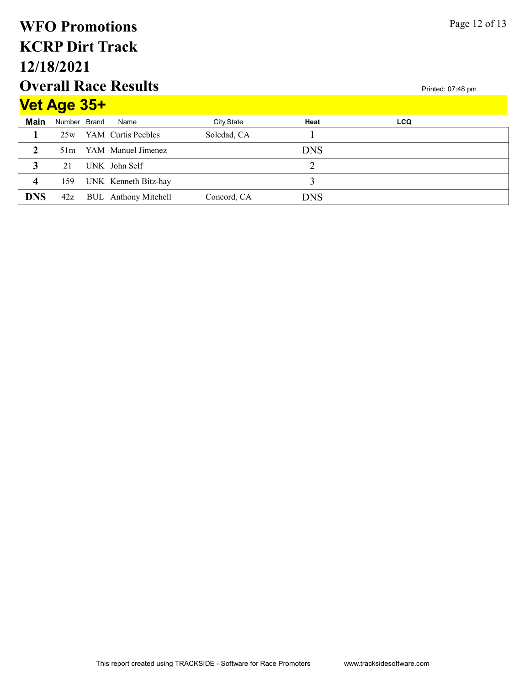#### Overall Race Results 12/18/2021 KCRP Dirt Track WFO Promotions  $V<sub>o</sub>$   $\uparrow$   $A_{q,q}$   $2F+$

| <u>Vel Age Jot</u> |              |  |                             |             |            |            |  |  |  |  |  |
|--------------------|--------------|--|-----------------------------|-------------|------------|------------|--|--|--|--|--|
| <b>Main</b>        | Number Brand |  | Name                        | City, State | Heat       | <b>LCQ</b> |  |  |  |  |  |
|                    |              |  | 25w YAM Curtis Peebles      | Soledad, CA |            |            |  |  |  |  |  |
|                    | 51m          |  | YAM Manuel Jimenez          |             | <b>DNS</b> |            |  |  |  |  |  |
|                    | 21           |  | UNK John Self               |             |            |            |  |  |  |  |  |
| $\boldsymbol{4}$   | 159          |  | UNK Kenneth Bitz-hay        |             |            |            |  |  |  |  |  |
| <b>DNS</b>         | 42z          |  | <b>BUL</b> Anthony Mitchell | Concord, CA | <b>DNS</b> |            |  |  |  |  |  |